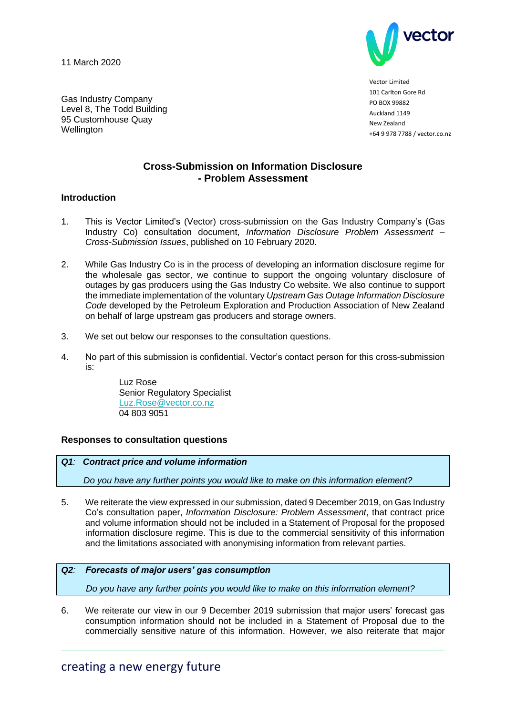11 March 2020

Gas Industry Company Level 8, The Todd Building 95 Customhouse Quay



Vector Limited 101 Carlton Gore Rd **PO BOX 99882** Auckland 1149 New Zealand +64 9 978 7788 / vector.co.nz

# **Cross-Submission on Information Disclosure - Problem Assessment**

## **Introduction**

**Wellington** 

- 1. This is Vector Limited's (Vector) cross-submission on the Gas Industry Company's (Gas Industry Co) consultation document, *Information Disclosure Problem Assessment – Cross-Submission Issues*, published on 10 February 2020.
- 2. While Gas Industry Co is in the process of developing an information disclosure regime for the wholesale gas sector, we continue to support the ongoing voluntary disclosure of outages by gas producers using the Gas Industry Co website. We also continue to support the immediate implementation of the voluntary *Upstream Gas Outage Information Disclosure Code* developed by the Petroleum Exploration and Production Association of New Zealand on behalf of large upstream gas producers and storage owners.
- 3. We set out below our responses to the consultation questions.
- 4. No part of this submission is confidential. Vector's contact person for this cross-submission is:

Luz Rose Senior Regulatory Specialist [Luz.Rose@vector.co.nz](mailto:Luz.Rose@vector.co.nz) 04 803 9051

## **Responses to consultation questions**

## *Q1: Contract price and volume information*

 *Do you have any further points you would like to make on this information element?*

5. We reiterate the view expressed in our submission, dated 9 December 2019, on Gas Industry Co's consultation paper, *Information Disclosure: Problem Assessment*, that contract price and volume information should not be included in a Statement of Proposal for the proposed information disclosure regime. This is due to the commercial sensitivity of this information and the limitations associated with anonymising information from relevant parties.

## *Q2: Forecasts of major users' gas consumption*

 *Do you have any further points you would like to make on this information element?*

6. We reiterate our view in our 9 December 2019 submission that major users' forecast gas consumption information should not be included in a Statement of Proposal due to the commercially sensitive nature of this information. However, we also reiterate that major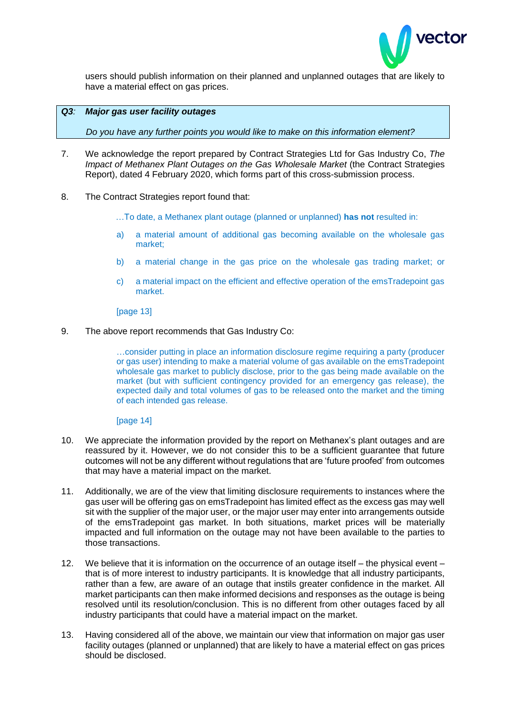

users should publish information on their planned and unplanned outages that are likely to have a material effect on gas prices.

#### *Q3: Major gas user facility outages*

 *Do you have any further points you would like to make on this information element?*

- 7. We acknowledge the report prepared by Contract Strategies Ltd for Gas Industry Co, *The Impact of Methanex Plant Outages on the Gas Wholesale Market* (the Contract Strategies Report), dated 4 February 2020, which forms part of this cross-submission process.
- 8. The Contract Strategies report found that:
	- …To date, a Methanex plant outage (planned or unplanned) **has not** resulted in:
	- a) a material amount of additional gas becoming available on the wholesale gas market;
	- b) a material change in the gas price on the wholesale gas trading market; or
	- c) a material impact on the efficient and effective operation of the emsTradepoint gas market.

[page 13]

9. The above report recommends that Gas Industry Co:

…consider putting in place an information disclosure regime requiring a party (producer or gas user) intending to make a material volume of gas available on the emsTradepoint wholesale gas market to publicly disclose, prior to the gas being made available on the market (but with sufficient contingency provided for an emergency gas release), the expected daily and total volumes of gas to be released onto the market and the timing of each intended gas release.

[page 14]

- 10. We appreciate the information provided by the report on Methanex's plant outages and are reassured by it. However, we do not consider this to be a sufficient guarantee that future outcomes will not be any different without regulations that are 'future proofed' from outcomes that may have a material impact on the market.
- 11. Additionally, we are of the view that limiting disclosure requirements to instances where the gas user will be offering gas on emsTradepoint has limited effect as the excess gas may well sit with the supplier of the major user, or the major user may enter into arrangements outside of the emsTradepoint gas market. In both situations, market prices will be materially impacted and full information on the outage may not have been available to the parties to those transactions.
- 12. We believe that it is information on the occurrence of an outage itself the physical event that is of more interest to industry participants. It is knowledge that all industry participants, rather than a few, are aware of an outage that instils greater confidence in the market. All market participants can then make informed decisions and responses as the outage is being resolved until its resolution/conclusion. This is no different from other outages faced by all industry participants that could have a material impact on the market.
- 13. Having considered all of the above, we maintain our view that information on major gas user facility outages (planned or unplanned) that are likely to have a material effect on gas prices should be disclosed.